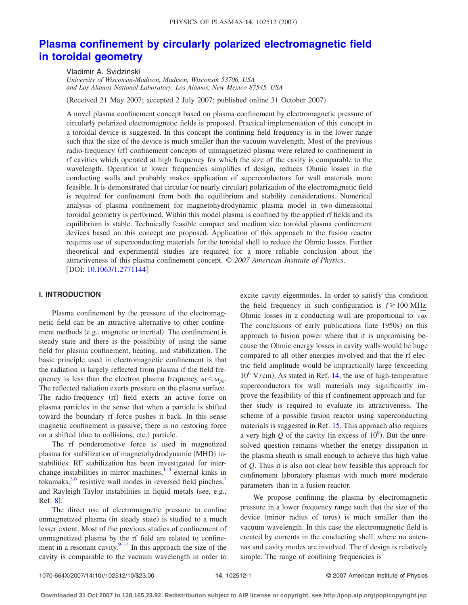# **[Plasma confinement by circularly polarized electromagnetic field](http://dx.doi.org/10.1063/1.2771144) [in toroidal geometry](http://dx.doi.org/10.1063/1.2771144)**

Vladimir A. Svidzinski *University of Wisconsin-Madison, Madison, Wisconsin 53706, USA and Los Alamos National Laboratory, Los Alamos, New Mexico 87545, USA*

(Received 21 May 2007; accepted 2 July 2007; published online 31 October 2007)

A novel plasma confinement concept based on plasma confinement by electromagnetic pressure of circularly polarized electromagnetic fields is proposed. Practical implementation of this concept in a toroidal device is suggested. In this concept the confining field frequency is in the lower range such that the size of the device is much smaller than the vacuum wavelength. Most of the previous radio-frequency (rf) confinement concepts of unmagnetized plasma were related to confinement in rf cavities which operated at high frequency for which the size of the cavity is comparable to the wavelength. Operation at lower frequencies simplifies rf design, reduces Ohmic losses in the conducting walls and probably makes application of superconductors for wall materials more feasible. It is demonstrated that circular (or nearly circular) polarization of the electromagnetic field is required for confinement from both the equilibrium and stability considerations. Numerical analysis of plasma confinement for magnetohydrodynamic plasma model in two-dimensional toroidal geometry is performed. Within this model plasma is confined by the applied rf fields and its equilibrium is stable. Technically feasible compact and medium size toroidal plasma confinement devices based on this concept are proposed. Application of this approach to the fusion reactor requires use of superconducting materials for the toroidal shell to reduce the Ohmic losses. Further theoretical and experimental studies are required for a more reliable conclusion about the attractiveness of this plasma confinement concept. © *2007 American Institute of Physics*. [DOI: [10.1063/1.2771144](http://dx.doi.org/10.1063/1.2771144)]

# **I. INTRODUCTION**

Plasma confinement by the pressure of the electromagnetic field can be an attractive alternative to other confinement methods (e.g., magnetic or inertial). The confinement is steady state and there is the possibility of using the same field for plasma confinement, heating, and stabilization. The basic principle used in electromagnetic confinement is that the radiation is largely reflected from plasma if the field frequency is less than the electron plasma frequency  $\omega < \omega_{pe}$ . The reflected radiation exerts pressure on the plasma surface. The radio-frequency (rf) field exerts an active force on plasma particles in the sense that when a particle is shifted toward the boundary rf force pushes it back. In this sense magnetic confinement is passive; there is no restoring force on a shifted (due to collisions, etc.) particle.

The rf ponderomotive force is used in magnetized plasma for stabilization of magnetohydrodynamic (MHD) instabilities. RF stabilization has been investigated for interchange instabilities in mirror machines, $1-4$  $1-4$  external kinks in tokamaks,  $5.6$  resistive wall modes in reversed field pinches,<sup>7</sup> and Rayleigh-Taylor instabilities in liquid metals (see, e.g., Ref. [8](#page-9-5)).

The direct use of electromagnetic pressure to confine unmagnetized plasma (in steady state) is studied to a much lesser extent. Most of the previous studies of confinement of unmagnetized plasma by the rf field are related to confinement in a resonant cavity.  $9-14$  In this approach the size of the cavity is comparable to the vacuum wavelength in order to excite cavity eigenmodes. In order to satisfy this condition the field frequency in such configuration is  $f \ge 100$  MHz. Ohmic losses in a conducting wall are proportional to  $\sqrt{\omega}$ . The conclusions of early publications (late 1950s) on this approach to fusion power where that it is unpromising because the Ohmic energy losses in cavity walls would be huge compared to all other energies involved and that the rf electric field amplitude would be impractically large (exceeding 10<sup>6</sup> V/cm). As stated in Ref. [14,](#page-9-7) the use of high-temperature superconductors for wall materials may significantly improve the feasibility of this rf confinement approach and further study is required to evaluate its attractiveness. The scheme of a possible fusion reactor using superconducting materials is suggested in Ref. [15.](#page-9-8) This approach also requires a very high  $Q$  of the cavity (in excess of  $10^9$ ). But the unresolved question remains whether the energy dissipation in the plasma sheath is small enough to achieve this high value of *Q*. Thus it is also not clear how feasible this approach for confinement laboratory plasmas with much more moderate parameters than in a fusion reactor.

We propose confining the plasma by electromagnetic pressure in a lower frequency range such that the size of the device (minor radius of torus) is much smaller than the vacuum wavelength. In this case the electromagnetic field is created by currents in the conducting shell, where no antennas and cavity modes are involved. The rf design is relatively simple. The range of confining frequencies is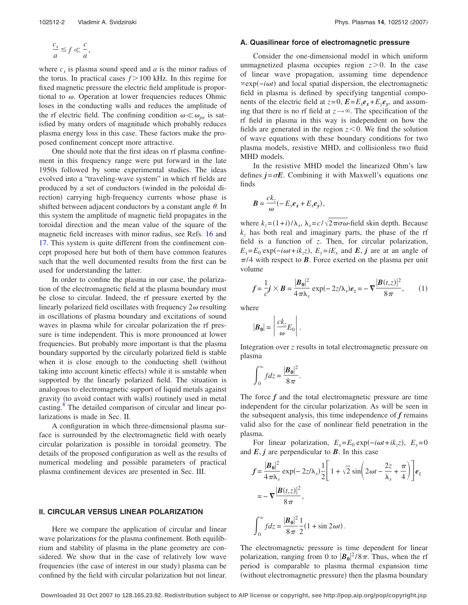$$
\frac{c_s}{a} \lesssim f \ll \frac{c}{a},
$$

where  $c_s$  is plasma sound speed and  $a$  is the minor radius of the torus. In practical cases  $f > 100$  kHz. In this regime for fixed magnetic pressure the electric field amplitude is proportional to  $\omega$ . Operation at lower frequencies reduces Ohmic loses in the conducting walls and reduces the amplitude of the rf electric field. The confining condition  $\omega \ll \omega_{pe}$  is satisfied by many orders of magnitude which probably reduces plasma energy loss in this case. These factors make the proposed confinement concept more attractive.

One should note that the first ideas on rf plasma confinement in this frequency range were put forward in the late 1950s followed by some experimental studies. The ideas evolved into a "traveling-wave system" in which rf fields are produced by a set of conductors (winded in the poloidal direction) carrying high-frequency currents whose phase is shifted between adjacent conductors by a constant angle  $\theta$ . In this system the amplitude of magnetic field propagates in the toroidal direction and the mean value of the square of the magnetic field increases with minor radius, see Refs. [16](#page-9-9) and [17.](#page-9-10) This system is quite different from the confinement concept proposed here but both of them have common features such that the well documented results from the first can be used for understanding the latter.

In order to confine the plasma in our case, the polarization of the electromagnetic field at the plasma boundary must be close to circular. Indeed, the rf pressure exerted by the linearly polarized field oscillates with frequency  $2\omega$  resulting in oscillations of plasma boundary and excitations of sound waves in plasma while for circular polarization the rf pressure is time independent. This is more pronounced at lower frequencies. But probably more important is that the plasma boundary supported by the circularly polarized field is stable when it is close enough to the conducting shell (without taking into account kinetic effects) while it is unstable when supported by the linearly polarized field. The situation is analogous to electromagnetic support of liquid metals against gravity (to avoid contact with walls) routinely used in metal casting.<sup>8</sup> The detailed comparison of circular and linear polarizations is made in Sec. II.

A configuration in which three-dimensional plasma surface is surrounded by the electromagnetic field with nearly circular polarization is possible in toroidal geometry. The details of the proposed configuration as well as the results of numerical modeling and possible parameters of practical plasma confinement devices are presented in Sec. III.

# **II. CIRCULAR VERSUS LINEAR POLARIZATION**

Here we compare the application of circular and linear wave polarizations for the plasma confinement. Both equilibrium and stability of plasma in the plane geometry are considered. We show that in the case of relatively low wave frequencies (the case of interest in our study) plasma can be confined by the field with circular polarization but not linear.

# **A. Quasilinear force of electromagnetic pressure**

Consider the one-dimensional model in which uniform unmagnetized plasma occupies region  $z > 0$ . In the case of linear wave propagation, assuming time dependence exp−*it*- and local spatial dispersion, the electromagnetic field in plasma is defined by specifying tangential components of the electric field at  $z=0$ ,  $E=E_xe_x+E_ye_y$ , and assuming that there is no rf field at  $z \rightarrow \infty$ . The specification of the rf field in plasma in this way is independent on how the fields are generated in the region  $z < 0$ . We find the solution of wave equations with these boundary conditions for two plasma models, resistive MHD, and collisionless two fluid MHD models.

In the resistive MHD model the linearized Ohm's law defines  $j = \sigma E$ . Combining it with Maxwell's equations one finds

$$
\boldsymbol{B} = \frac{c k_z}{\omega} (-E_y \boldsymbol{e}_x + E_x \boldsymbol{e}_y),
$$

where  $k_z = (1+i)/\lambda_s$ ,  $\lambda_s = c/\sqrt{2\pi\sigma\omega}$ -field skin depth. Because  $k<sub>z</sub>$  has both real and imaginary parts, the phase of the rf field is a function of *z*. Then, for circular polarization,  $E_x = E_0 \exp(-i\omega t + i k_z z)$ ,  $E_y = i E_x$  and  $E$ , *j* are at an angle of  $\pi/4$  with respect to **B**. Force exerted on the plasma per unit volume

<span id="page-1-0"></span>
$$
f = \frac{1}{c}j \times B = \frac{|B_0|^2}{4\pi\lambda_s} \exp(-2z/\lambda_s)e_z = -\nabla \frac{|B(t,z)|^2}{8\pi},
$$
 (1)

where

$$
|\boldsymbol{B}_0| = \left| \frac{ck_z}{\omega} E_0 \right|.
$$

Integration over *z* results in total electromagnetic pressure on plasma

$$
\int_0^\infty f dz = \frac{|\boldsymbol{B_0}|^2}{8\pi}.
$$

The force  $f$  and the total electromagnetic pressure are time independent for the circular polarization. As will be seen in the subsequent analysis, this time independence of *f* remains valid also for the case of nonlinear field penetration in the plasma.

For linear polarization,  $E_x = E_0 \exp(-i\omega t + i k_z z)$ ,  $E_y = 0$ and  $E$ ,  $j$  are perpendicular to  $B$ . In this case

$$
f = \frac{|\boldsymbol{B}_0|^2}{4\pi\lambda_s} \exp(-2z/\lambda_s) \frac{1}{2} \left[ 1 + \sqrt{2} \sin\left( 2\omega t - \frac{2z}{\lambda_s} + \frac{\pi}{4} \right) \right] \boldsymbol{e}_z
$$
  
=  $-\nabla \frac{|\boldsymbol{B}(t,z)|^2}{8\pi},$   

$$
\int_0^\infty f dz = \frac{|\boldsymbol{B}_0|^2}{8\pi} \frac{1}{2} (1 + \sin 2\omega t).
$$

The electromagnetic pressure is time dependent for linear polarization, ranging from 0 to  $|\boldsymbol{B}_0|^2/8\pi$ . Thus, when the rf period is comparable to plasma thermal expansion time (without electromagnetic pressure) then the plasma boundary

**Downloaded 31 Oct 2007 to 128.165.23.92. Redistribution subject to AIP license or copyright, see http://pop.aip.org/pop/copyright.jsp**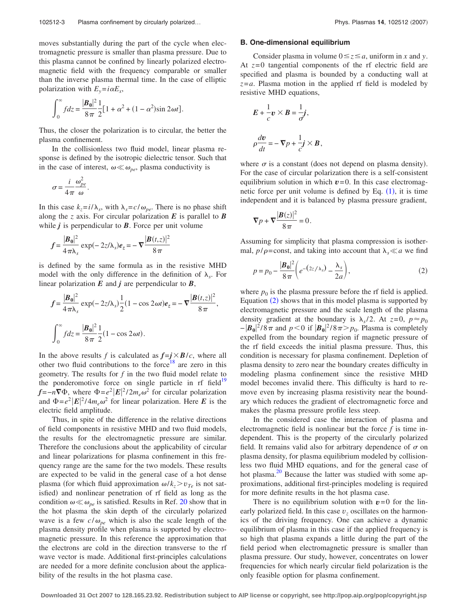moves substantially during the part of the cycle when electromagnetic pressure is smaller than plasma pressure. Due to this plasma cannot be confined by linearly polarized electromagnetic field with the frequency comparable or smaller than the inverse plasma thermal time. In the case of elliptic polarization with  $E_y = i\alpha E_x$ ,

$$
\int_0^\infty f dz = \frac{|\mathbf{B}_0|^2}{8\pi} \frac{1}{2} [1 + \alpha^2 + (1 - \alpha^2) \sin 2\omega t].
$$

Thus, the closer the polarization is to circular, the better the plasma confinement.

In the collisionless two fluid model, linear plasma response is defined by the isotropic dielectric tensor. Such that in the case of interest,  $\omega \ll \omega_{pe}$ , plasma conductivity is

$$
\sigma = \frac{i}{4\pi} \frac{\omega_{pe}^2}{\omega}.
$$

In this case  $k_z = i/\lambda_s$ , with  $\lambda_s = c/\omega_{pe}$ . There is no phase shift along the *z* axis. For circular polarization  $E$  is parallel to  $B$ while  $j$  is perpendicular to  $\bm{B}$ . Force per unit volume

$$
f = \frac{|\boldsymbol{B}_0|^2}{4\pi\lambda_s} \exp(-2z/\lambda_s) \boldsymbol{e}_z = -\nabla \frac{|\boldsymbol{B}(t,z)|^2}{8\pi}
$$

is defined by the same formula as in the resistive MHD model with the only difference in the definition of  $\lambda_s$ . For linear polarization  $E$  and  $j$  are perpendicular to  $B$ ,

$$
f = \frac{|\mathbf{B}_0|^2}{4\pi\lambda_s} \exp(-2z/\lambda_s) \frac{1}{2} (1 - \cos 2\omega t) e_z = -\nabla \frac{|\mathbf{B}(t, z)|^2}{8\pi},
$$

$$
\int_0^\infty f dz = \frac{|\mathbf{B}_0|^2}{8\pi} \frac{1}{2} (1 - \cos 2\omega t).
$$

In the above results *f* is calculated as  $f = j \times B/c$ , where all other two fluid contributions to the force<sup>18</sup> are zero in this geometry. The results for *f* in the two fluid model relate to the ponderomotive force on single particle in rf field<sup>19</sup>  $f = -n\nabla \Phi$ , where  $\Phi = e^2 |E|^2 / 2m_e \omega^2$  for circular polarization and  $\Phi = e^2 |E|^2 / 4m_e \omega^2$  for linear polarization. Here *E* is the electric field amplitude.

Thus, in spite of the difference in the relative directions of field components in resistive MHD and two fluid models, the results for the electromagnetic pressure are similar. Therefore the conclusions about the applicability of circular and linear polarizations for plasma confinement in this frequency range are the same for the two models. These results are expected to be valid in the general case of a hot dense plasma (for which fluid approximation  $\omega / k_z > v_{Te}$  is not satisfied) and nonlinear penetration of rf field as long as the condition  $\omega \ll \omega_{pe}$  is satisfied. Results in Ref. [20](#page-9-13) show that in the hot plasma the skin depth of the circularly polarized wave is a few  $c/\omega_{pe}$  which is also the scale length of the plasma density profile when plasma is supported by electromagnetic pressure. In this reference the approximation that the electrons are cold in the direction transverse to the rf wave vector is made. Additional first-principles calculations are needed for a more definite conclusion about the applicability of the results in the hot plasma case.

## **B. One-dimensional equilibrium**

Consider plasma in volume  $0 \le z \le a$ , uniform in *x* and *y*. At  $z=0$  tangential components of the rf electric field are specified and plasma is bounded by a conducting wall at *z*=*a*. Plasma motion in the applied rf field is modeled by resistive MHD equations,

$$
E + \frac{1}{c} v \times B = \frac{1}{\sigma'}j,
$$
  

$$
\rho \frac{dv}{dt} = -\nabla p + \frac{1}{c'}j \times B,
$$

where  $\sigma$  is a constant (does not depend on plasma density). For the case of circular polarization there is a self-consistent equilibrium solution in which  $v=0$ . In this case electromagnetic force per unit volume is defined by Eq.  $(1)$  $(1)$  $(1)$ , it is time independent and it is balanced by plasma pressure gradient,

$$
\nabla p + \nabla \frac{|\boldsymbol{B}(z)|^2}{8\pi} = 0.
$$

Assuming for simplicity that plasma compression is isothermal,  $p/\rho$ =const, and taking into account that  $\lambda_s \ll a$  we find

<span id="page-2-0"></span>
$$
p = p_0 - \frac{|\boldsymbol{B}_0|^2}{8\pi} \bigg( e^{-(2z/\lambda_s)} - \frac{\lambda_s}{2a} \bigg),\tag{2}
$$

where  $p_0$  is the plasma pressure before the rf field is applied. Equation ([2](#page-2-0)) shows that in this model plasma is supported by electromagnetic pressure and the scale length of the plasma density gradient at the boundary is  $\lambda_s/2$ . At  $z=0$ ,  $p \approx p_0$  $-|B_0|^2/8\pi$  and  $p < 0$  if  $|B_0|^2/8\pi > p_0$ . Plasma is completely expelled from the boundary region if magnetic pressure of the rf field exceeds the initial plasma pressure. Thus, this condition is necessary for plasma confinement. Depletion of plasma density to zero near the boundary creates difficulty in modeling plasma confinement since the resistive MHD model becomes invalid there. This difficulty is hard to remove even by increasing plasma resistivity near the boundary which reduces the gradient of electromagnetic force and makes the plasma pressure profile less steep.

In the considered case the interaction of plasma and electromagnetic field is nonlinear but the force *f* is time independent. This is the property of the circularly polarized field. It remains valid also for arbitrary dependence of  $\sigma$  on plasma density, for plasma equilibrium modeled by collisionless two fluid MHD equations, and for the general case of hot plasma. $^{20}$  Because the latter was studied with some approximations, additional first-principles modeling is required for more definite results in the hot plasma case.

There is no equilibrium solution with  $v=0$  for the linearly polarized field. In this case  $v<sub>z</sub>$  oscillates on the harmonics of the driving frequency. One can achieve a dynamic equilibrium of plasma in this case if the applied frequency is so high that plasma expands a little during the part of the field period when electromagnetic pressure is smaller than plasma pressure. Our study, however, concentrates on lower frequencies for which nearly circular field polarization is the only feasible option for plasma confinement.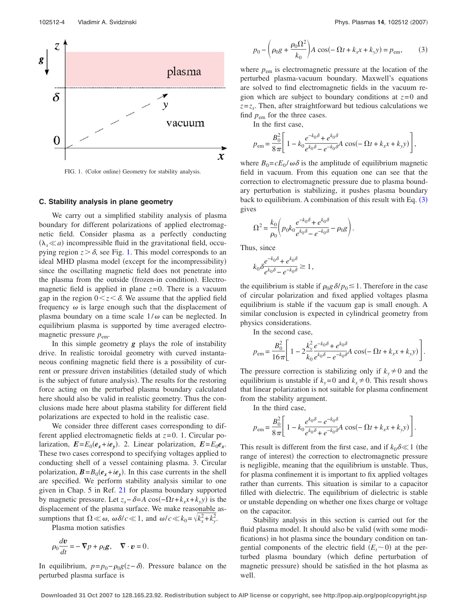<span id="page-3-0"></span>

FIG. 1. (Color online) Geometry for stability analysis.

# **C. Stability analysis in plane geometry**

We carry out a simplified stability analysis of plasma boundary for different polarizations of applied electromagnetic field. Consider plasma as a perfectly conducting  $(\lambda_s \ll a)$  incompressible fluid in the gravitational field, occupying region  $z > \delta$ , see Fig. [1.](#page-3-0) This model corresponds to an ideal MHD plasma model (except for the incompressibility) since the oscillating magnetic field does not penetrate into the plasma from the outside (frozen-in condition). Electromagnetic field is applied in plane  $z=0$ . There is a vacuum gap in the region  $0 \lt z \lt \delta$ . We assume that the applied field frequency  $\omega$  is large enough such that the displacement of plasma boundary on a time scale  $1/\omega$  can be neglected. In equilibrium plasma is supported by time averaged electromagnetic pressure  $p_{em}$ .

In this simple geometry *g* plays the role of instability drive. In realistic toroidal geometry with curved instantaneous confining magnetic field there is a possibility of current or pressure driven instabilities (detailed study of which is the subject of future analysis). The results for the restoring force acting on the perturbed plasma boundary calculated here should also be valid in realistic geometry. Thus the conclusions made here about plasma stability for different field polarizations are expected to hold in the realistic case.

We consider three different cases corresponding to different applied electromagnetic fields at *z*= 0. 1. Circular polarization,  $E = E_0(e_x + ie_y)$ . 2. Linear polarization,  $E = E_0e_x$ . These two cases correspond to specifying voltages applied to conducting shell of a vessel containing plasma. 3. Circular polarization,  $\mathbf{B} = B_0(e_x + ie_y)$ . In this case currents in the shell are specified. We perform stability analysis similar to one given in Chap. 5 in Ref. [21](#page-9-14) for plasma boundary supported by magnetic pressure. Let  $z_s - \delta = A \cos(-\Omega t + k_x x + k_y y)$  is the displacement of the plasma surface. We make reasonable assumptions that  $\Omega \ll \omega$ ,  $\omega \delta/c \ll 1$ , and  $\omega/c \ll k_0 = \sqrt{k_x^2 + k_y^2}$ .

Plasma motion satisfies

$$
\rho_0 \frac{d\mathbf{v}}{dt} = -\nabla p + \rho_0 \mathbf{g}, \quad \nabla \cdot \mathbf{v} = 0.
$$

In equilibrium,  $p = p_0 - \rho_0 g(z - \delta)$ . Pressure balance on the perturbed plasma surface is

<span id="page-3-1"></span>
$$
p_0 - \left(\rho_0 g + \frac{\rho_0 \Omega^2}{k_0}\right) A \cos(-\Omega t + k_x x + k_y y) = p_{\text{em}},
$$
 (3)

where  $p_{em}$  is electromagnetic pressure at the location of the perturbed plasma-vacuum boundary. Maxwell's equations are solved to find electromagnetic fields in the vacuum region which are subject to boundary conditions at *z*= 0 and  $z=z<sub>s</sub>$ . Then, after straightforward but tedious calculations we find  $p_{em}$  for the three cases.

In the first case,

$$
p_{\text{em}} = \frac{B_0^2}{8\pi} \left[ 1 - k_0 \frac{e^{-k_0 \delta} + e^{k_0 \delta}}{e^{k_0 \delta} - e^{-k_0 \delta}} A \cos(-\Omega t + k_x x + k_y y) \right],
$$

where  $B_0 = cE_0 / \omega \delta$  is the amplitude of equilibrium magnetic field in vacuum. From this equation one can see that the correction to electromagnetic pressure due to plasma boundary perturbation is stabilizing, it pushes plasma boundary back to equilibrium. A combination of this result with Eq. ([3](#page-3-1)) gives

$$
\Omega^2=\frac{k_0}{\rho_0}\Bigg(p_0k_0\frac{e^{-k_0\delta}+e^{k_0\delta}}{e^{k_0\delta}-e^{-k_0\delta}}-\rho_0g\Bigg).
$$

Thus, since

$$
k_0 \delta \frac{e^{-k_0 \delta} + e^{k_0 \delta}}{e^{k_0 \delta} - e^{-k_0 \delta}} \ge 1,
$$

the equilibrium is stable if  $\rho_0 g \, \delta / p_0 \leq 1$ . Therefore in the case of circular polarization and fixed applied voltages plasma equilibrium is stable if the vacuum gap is small enough. A similar conclusion is expected in cylindrical geometry from physics considerations.

In the second case,

$$
p_{\text{em}} = \frac{B_0^2}{16\pi} \left[ 1 - 2 \frac{k_y^2}{k_0} \frac{e^{-k_0 \delta} + e^{k_0 \delta}}{e^{k_0 \delta} - e^{-k_0 \delta}} A \cos(-\Omega t + k_x x + k_y y) \right].
$$

The pressure correction is stabilizing only if  $k_y \neq 0$  and the equilibrium is unstable if  $k_y=0$  and  $k_x\neq0$ . This result shows that linear polarization is not suitable for plasma confinement from the stability argument.

In the third case,

$$
p_{\text{em}} = \frac{B_0^2}{8\pi} \left[ 1 - k_0 \frac{e^{k_0 \delta} - e^{-k_0 \delta}}{e^{k_0 \delta} + e^{-k_0 \delta}} A \cos(-\Omega t + k_x x + k_y y) \right].
$$

This result is different from the first case, and if  $k_0 \delta \ll 1$  (the range of interest) the correction to electromagnetic pressure is negligible, meaning that the equilibrium is unstable. Thus, for plasma confinement it is important to fix applied voltages rather than currents. This situation is similar to a capacitor filled with dielectric. The equilibrium of dielectric is stable or unstable depending on whether one fixes charge or voltage on the capacitor.

Stability analysis in this section is carried out for the fluid plasma model. It should also be valid (with some modifications) in hot plasma since the boundary condition on tangential components of the electric field  $(E_t \sim 0)$  at the perturbed plasma boundary (which define perturbation of magnetic pressure) should be satisfied in the hot plasma as well.

**Downloaded 31 Oct 2007 to 128.165.23.92. Redistribution subject to AIP license or copyright, see http://pop.aip.org/pop/copyright.jsp**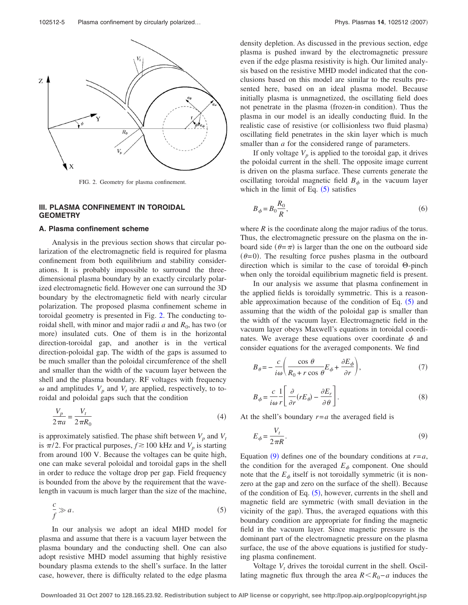<span id="page-4-0"></span>

FIG. 2. Geometry for plasma confinement.

# **III. PLASMA CONFINEMENT IN TOROIDAL GEOMETRY**

#### **A. Plasma confinement scheme**

Analysis in the previous section shows that circular polarization of the electromagnetic field is required for plasma confinement from both equilibrium and stability considerations. It is probably impossible to surround the threedimensional plasma boundary by an exactly circularly polarized electromagnetic field. However one can surround the 3D boundary by the electromagnetic field with nearly circular polarization. The proposed plasma confinement scheme in toroidal geometry is presented in Fig. [2.](#page-4-0) The conducting toroidal shell, with minor and major radii  $a$  and  $R_0$ , has two (or more) insulated cuts. One of them is in the horizontal direction-toroidal gap, and another is in the vertical direction-poloidal gap. The width of the gaps is assumed to be much smaller than the poloidal circumference of the shell and smaller than the width of the vacuum layer between the shell and the plasma boundary. RF voltages with frequency  $\omega$  and amplitudes  $V_p$  and  $V_t$  are applied, respectively, to toroidal and poloidal gaps such that the condition

<span id="page-4-4"></span>
$$
\frac{V_p}{2\pi a} = \frac{V_t}{2\pi R_0} \tag{4}
$$

is approximately satisfied. The phase shift between  $V_p$  and  $V_t$ is  $\pi/2$ . For practical purposes,  $f \gtrsim 100$  kHz and  $V_p$  is starting from around 100 V. Because the voltages can be quite high, one can make several poloidal and toroidal gaps in the shell in order to reduce the voltage drop per gap. Field frequency is bounded from the above by the requirement that the wavelength in vacuum is much larger than the size of the machine,

<span id="page-4-1"></span>
$$
\frac{c}{f} \gg a. \tag{5}
$$

In our analysis we adopt an ideal MHD model for plasma and assume that there is a vacuum layer between the plasma boundary and the conducting shell. One can also adopt resistive MHD model assuming that highly resistive boundary plasma extends to the shell's surface. In the latter case, however, there is difficulty related to the edge plasma density depletion. As discussed in the previous section, edge plasma is pushed inward by the electromagnetic pressure even if the edge plasma resistivity is high. Our limited analysis based on the resistive MHD model indicated that the conclusions based on this model are similar to the results presented here, based on an ideal plasma model. Because initially plasma is unmagnetized, the oscillating field does not penetrate in the plasma (frozen-in condition). Thus the plasma in our model is an ideally conducting fluid. In the realistic case of resistive (or collisionless two fluid plasma) oscillating field penetrates in the skin layer which is much smaller than *a* for the considered range of parameters.

If only voltage  $V_p$  is applied to the toroidal gap, it drives the poloidal current in the shell. The opposite image current is driven on the plasma surface. These currents generate the oscillating toroidal magnetic field  $B_{\phi}$  in the vacuum layer which in the limit of Eq.  $(5)$  $(5)$  $(5)$  satisfies

<span id="page-4-5"></span>
$$
B_{\phi} = B_0 \frac{R_0}{R},\tag{6}
$$

where *R* is the coordinate along the major radius of the torus. Thus, the electromagnetic pressure on the plasma on the inboard side  $(\theta = \pi)$  is larger than the one on the outboard side  $(\theta=0)$ . The resulting force pushes plasma in the outboard direction which is similar to the case of toroidal  $\Theta$ -pinch when only the toroidal equilibrium magnetic field is present.

In our analysis we assume that plasma confinement in the applied fields is toroidally symmetric. This is a reasonable approximation because of the condition of Eq.  $(5)$  $(5)$  $(5)$  and assuming that the width of the poloidal gap is smaller than the width of the vacuum layer. Electromagnetic field in the vacuum layer obeys Maxwell's equations in toroidal coordinates. We average these equations over coordinate  $\phi$  and consider equations for the averaged components. We find

<span id="page-4-3"></span>
$$
B_{\theta} = -\frac{c}{i\omega} \left( \frac{\cos \theta}{R_0 + r \cos \theta} E_{\phi} + \frac{\partial E_{\phi}}{\partial r} \right),\tag{7}
$$

<span id="page-4-6"></span>
$$
B_{\phi} = \frac{c}{i\omega} \frac{1}{r} \left[ \frac{\partial}{\partial r} (rE_{\theta}) - \frac{\partial E_r}{\partial \theta} \right].
$$
 (8)

<span id="page-4-2"></span>At the shell's boundary  $r = a$  the averaged field is

$$
E_{\phi} = \frac{V_t}{2\pi R}.\tag{9}
$$

Equation ([9](#page-4-2)) defines one of the boundary conditions at  $r = a$ , the condition for the averaged  $E_{\phi}$  component. One should note that the  $E_{\phi}$  itself is not toroidally symmetric (it is nonzero at the gap and zero on the surface of the shell). Because of the condition of Eq.  $(5)$  $(5)$  $(5)$ , however, currents in the shell and magnetic field are symmetric (with small deviation in the vicinity of the gap). Thus, the averaged equations with this boundary condition are appropriate for finding the magnetic field in the vacuum layer. Since magnetic pressure is the dominant part of the electromagnetic pressure on the plasma surface, the use of the above equations is justified for studying plasma confinement.

Voltage  $V_t$  drives the toroidal current in the shell. Oscillating magnetic flux through the area  $R < R_0 - a$  induces the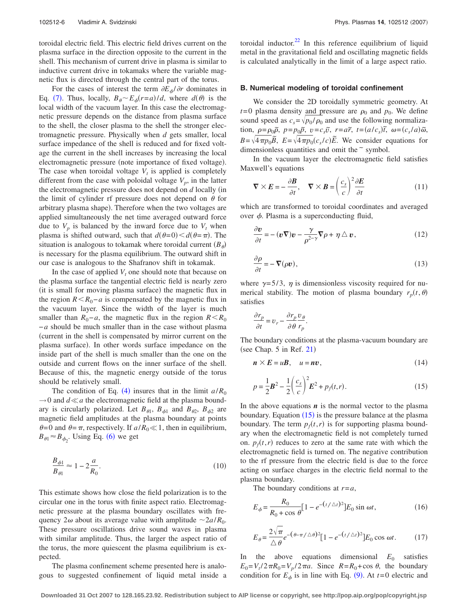toroidal electric field. This electric field drives current on the plasma surface in the direction opposite to the current in the shell. This mechanism of current drive in plasma is similar to inductive current drive in tokamaks where the variable magnetic flux is directed through the central part of the torus.

For the cases of interest the term  $\partial E_{\phi}/\partial r$  dominates in Eq. ([7](#page-4-3)). Thus, locally,  $B_\theta \sim E_\phi(r=a)/d$ , where  $d(\theta)$  is the local width of the vacuum layer. In this case the electromagnetic pressure depends on the distance from plasma surface to the shell, the closer plasma to the shell the stronger electromagnetic pressure. Physically when *d* gets smaller, local surface impedance of the shell is reduced and for fixed voltage the current in the shell increases by increasing the local electromagnetic pressure (note importance of fixed voltage). The case when toroidal voltage  $V_t$  is applied is completely different from the case with poloidal voltage  $V_p$ , in the latter the electromagnetic pressure does not depend on *d* locally (in the limit of cylinder rf pressure does not depend on  $\theta$  for arbitrary plasma shape). Therefore when the two voltages are applied simultaneously the net time averaged outward force due to  $V_p$  is balanced by the inward force due to  $V_t$  when plasma is shifted outward, such that  $d(\theta=0) < d(\theta=\pi)$ . The situation is analogous to tokamak where toroidal current  $(B_{\theta})$ is necessary for the plasma equilibrium. The outward shift in our case is analogous to the Shafranov shift in tokamak.

In the case of applied  $V_t$  one should note that because on the plasma surface the tangential electric field is nearly zero (it is small for moving plasma surface) the magnetic flux in the region  $R < R_0 - a$  is compensated by the magnetic flux in the vacuum layer. Since the width of the layer is much smaller than  $R_0 - a$ , the magnetic flux in the region  $R \le R_0$ −*a* should be much smaller than in the case without plasma current in the shell is compensated by mirror current on the plasma surface). In other words surface impedance on the inside part of the shell is much smaller than the one on the outside and current flows on the inner surface of the shell. Because of this, the magnetic energy outside of the torus should be relatively small.

The condition of Eq. ([4](#page-4-4)) insures that in the limit  $a/R_0$  $\rightarrow$ 0 and  $d \ll a$  the electromagnetic field at the plasma boundary is circularly polarized. Let  $B_{\theta_1}$ ,  $B_{\phi_1}$  and  $B_{\theta_2}$ ,  $B_{\phi_2}$  are magnetic field amplitudes at the plasma boundary at points  $\theta = 0$  and  $\theta = \pi$ , respectively. If  $a/R_0 \ll 1$ , then in equilibrium,  $B_{\theta_1} \approx B_{\phi_2}$ . Using Eq. ([6](#page-4-5)) we get

$$
\frac{B_{\phi1}}{B_{\theta1}} \approx 1 - 2\frac{a}{R_0}.\tag{10}
$$

This estimate shows how close the field polarization is to the circular one in the torus with finite aspect ratio. Electromagnetic pressure at the plasma boundary oscillates with frequency  $2\omega$  about its average value with amplitude  $\sim 2a/R_0$ . These pressure oscillations drive sound waves in plasma with similar amplitude. Thus, the larger the aspect ratio of the torus, the more quiescent the plasma equilibrium is expected.

The plasma confinement scheme presented here is analogous to suggested confinement of liquid metal inside a toroidal inductor. $22$  In this reference equilibrium of liquid metal in the gravitational field and oscillating magnetic fields is calculated analytically in the limit of a large aspect ratio.

#### **B. Numerical modeling of toroidal confinement**

We consider the 2D toroidally symmetric geometry. At  $t=0$  plasma density and pressure are  $\rho_0$  and  $p_0$ . We define sound speed as  $c_s = \sqrt{p_0 / \rho_0}$  and use the following normalization,  $\rho = \rho_0 \tilde{\rho}$ ,  $p = p_0 \tilde{p}$ ,  $v = c_s \tilde{v}$ ,  $r = a\tilde{r}$ ,  $t = (a/c_s)\tilde{t}$ ,  $\omega = (c_s/a)\tilde{\omega}$ ,  $B = \sqrt{4\pi p_0 B}$ ,  $E = \sqrt{4\pi p_0 (c_s/c)E}$ . We consider equations for dimensionless quantities and omit the  $\tilde{ }$  symbol.

In the vacuum layer the electromagnetic field satisfies Maxwell's equations

<span id="page-5-2"></span>
$$
\nabla \times \mathbf{E} = -\frac{\partial \mathbf{B}}{\partial t}, \quad \nabla \times \mathbf{B} = \left(\frac{c_s}{c}\right)^2 \frac{\partial \mathbf{E}}{\partial t}
$$
(11)

<span id="page-5-5"></span>which are transformed to toroidal coordinates and averaged over  $\phi$ . Plasma is a superconducting fluid,

$$
\frac{\partial \mathbf{v}}{\partial t} = -(\mathbf{v}\nabla)\mathbf{v} - \frac{\gamma}{\rho^{2-\gamma}}\nabla\rho + \eta \triangle \mathbf{v},\qquad(12)
$$

<span id="page-5-3"></span>
$$
\frac{\partial \rho}{\partial t} = -\nabla(\rho \mathbf{v}),\tag{13}
$$

where  $\gamma = 5/3$ ,  $\eta$  is dimensionless viscosity required for numerical stability. The motion of plasma boundary  $r_p(t, \theta)$ satisfies

$$
\frac{\partial r_p}{\partial t} = v_r - \frac{\partial r_p}{\partial \theta} \frac{v_\theta}{r_p}.
$$

The boundary conditions at the plasma-vacuum boundary are  $(see Chap. 5 in Ref. 21)$  $(see Chap. 5 in Ref. 21)$  $(see Chap. 5 in Ref. 21)$ 

$$
n \times E = uB, \quad u = nv,
$$
 (14)

<span id="page-5-0"></span>
$$
p = \frac{1}{2}\mathbf{B}^2 - \frac{1}{2}\left(\frac{c_s}{c}\right)^2 \mathbf{E}^2 + p_f(t, r).
$$
 (15)

In the above equations  $\boldsymbol{n}$  is the normal vector to the plasma boundary. Equation ([15](#page-5-0)) is the pressure balance at the plasma boundary. The term  $p_f(t, r)$  is for supporting plasma boundary when the electromagnetic field is not completely turned on.  $p_f(t, r)$  reduces to zero at the same rate with which the electromagnetic field is turned on. The negative contribution to the rf pressure from the electric field is due to the force acting on surface charges in the electric field normal to the plasma boundary.

The boundary conditions at *r*=*a*,

<span id="page-5-4"></span>
$$
E_{\phi} = \frac{R_0}{R_0 + \cos \theta} [1 - e^{-(t/\Delta t)^2}] E_0 \sin \omega t, \qquad (16)
$$

<span id="page-5-1"></span>
$$
E_{\theta} = \frac{2\sqrt{\pi}}{\Delta \theta} e^{-(\theta - \pi/\Delta \theta)^2} [1 - e^{-(t/\Delta t)^2}] E_0 \cos \omega t.
$$
 (17)

In the above equations dimensional  $E_0$  satisfies  $E_0 = V_t/2\pi R_0 = V_p/2\pi a$ . Since  $R = R_0 + \cos\theta$ , the boundary condition for  $E_{\phi}$  is in line with Eq. ([9](#page-4-2)). At  $t=0$  electric and

**Downloaded 31 Oct 2007 to 128.165.23.92. Redistribution subject to AIP license or copyright, see http://pop.aip.org/pop/copyright.jsp**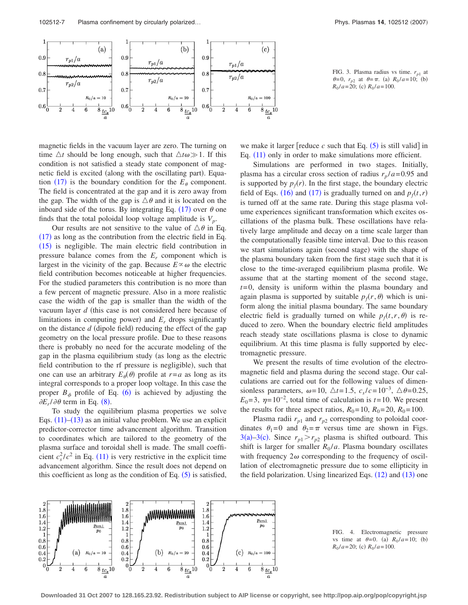<span id="page-6-0"></span>

magnetic fields in the vacuum layer are zero. The turning on time  $\Delta t$  should be long enough, such that  $\Delta t \omega \gg 1$ . If this condition is not satisfied a steady state component of magnetic field is excited (along with the oscillating part). Equa-tion ([17](#page-5-1)) is the boundary condition for the  $E_{\theta}$  component. The field is concentrated at the gap and it is zero away from the gap. The width of the gap is  $\triangle \theta$  and it is located on the inboard side of the torus. By integrating Eq.  $(17)$  $(17)$  $(17)$  over  $\theta$  one finds that the total poloidal loop voltage amplitude is  $V_p$ .

Our results are not sensitive to the value of  $\triangle \theta$  in Eq.  $(17)$  $(17)$  $(17)$  as long as the contribution from the electric field in Eq. ([15](#page-5-0)) is negligible. The main electric field contribution in pressure balance comes from the  $E_r$  component which is largest in the vicinity of the gap. Because  $E \propto \omega$  the electric field contribution becomes noticeable at higher frequencies. For the studied parameters this contribution is no more than a few percent of magnetic pressure. Also in a more realistic case the width of the gap is smaller than the width of the vacuum layer *d* (this case is not considered here because of limitations in computing power) and  $E_r$  drops significantly on the distance  $d$  (dipole field) reducing the effect of the gap geometry on the local pressure profile. Due to these reasons there is probably no need for the accurate modeling of the gap in the plasma equilibrium study (as long as the electric field contribution to the rf pressure is negligible), such that one can use an arbitrary  $E_{\theta}(\theta)$  profile at  $r=a$  as long as its integral corresponds to a proper loop voltage. In this case the proper  $B_{\phi}$  profile of Eq. ([6](#page-4-5)) is achieved by adjusting the  $\partial E_r/\partial \theta$  term in Eq. ([8](#page-4-6)).

To study the equilibrium plasma properties we solve Eqs.  $(11)$  $(11)$  $(11)$ – $(13)$  $(13)$  $(13)$  as an initial value problem. We use an explicit predictor-corrector time advancement algorithm. Transition to coordinates which are tailored to the geometry of the plasma surface and toroidal shell is made. The small coefficient  $c_s^2/c^2$  in Eq. ([11](#page-5-2)) is very restrictive in the explicit time advancement algorithm. Since the result does not depend on this coefficient as long as the condition of Eq.  $(5)$  $(5)$  $(5)$  is satisfied,

FIG. 3. Plasma radius vs time.  $r_{p1}$  at  $\theta = 0$ ,  $r_{p2}$  at  $\theta = \pi$ . (a)  $R_0 / a = 10$ ; (b)  $R_0 / a = 20$ ; (c)  $R_0 / a = 100$ .

we make it larger [reduce  $c$  such that Eq.  $(5)$  $(5)$  $(5)$  is still valid] in Eq. ([11](#page-5-2)) only in order to make simulations more efficient.

Simulations are performed in two stages. Initially, plasma has a circular cross section of radius  $r_p/a = 0.95$  and is supported by  $p_f(r)$ . In the first stage, the boundary electric field of Eqs. ([16](#page-5-4)) and ([17](#page-5-1)) is gradually turned on and  $p_f(t, r)$ is turned off at the same rate. During this stage plasma volume experiences significant transformation which excites oscillations of the plasma bulk. These oscillations have relatively large amplitude and decay on a time scale larger than the computationally feasible time interval. Due to this reason we start simulations again (second stage) with the shape of the plasma boundary taken from the first stage such that it is close to the time-averaged equilibrium plasma profile. We assume that at the starting moment of the second stage, *t*= 0, density is uniform within the plasma boundary and again plasma is supported by suitable  $p_f(r, \theta)$  which is uniform along the initial plasma boundary. The same boundary electric field is gradually turned on while  $p_f(t, r, \theta)$  is reduced to zero. When the boundary electric field amplitudes reach steady state oscillations plasma is close to dynamic equilibrium. At this time plasma is fully supported by electromagnetic pressure.

We present the results of time evolution of the electromagnetic field and plasma during the second stage. Our calculations are carried out for the following values of dimensionless parameters,  $\omega = 10$ ,  $\triangle t = 1.5$ ,  $c_s/c = 10^{-3}$ ,  $\triangle \theta = 0.25$ ,  $E_0$ =3,  $\eta$ =10<sup>-2</sup>, total time of calculation is *t*=10. We present the results for three aspect ratios,  $R_0 = 10$ ,  $R_0 = 20$ ,  $R_0 = 100$ .

Plasma radii  $r_{p1}$  and  $r_{p2}$  corresponding to poloidal coordinates  $\theta_1= 0$  and  $\theta_2=\pi$  versus time are shown in Figs. [3](#page-6-0)(a)[–3](#page-6-0)(c). Since  $r_{p1} > r_{p2}$  plasma is shifted outboard. This shift is larger for smaller  $R_0/a$ . Plasma boundary oscillates with frequency  $2\omega$  corresponding to the frequency of oscillation of electromagnetic pressure due to some ellipticity in the field polarization. Using linearized Eqs.  $(12)$  $(12)$  $(12)$  and  $(13)$  $(13)$  $(13)$  one

<span id="page-6-1"></span>

FIG. 4. Electromagnetic pressure vs time at  $\theta = 0$ . (a)  $R_0 / a = 10$ ; (b)  $R_0 / a = 20$ ; (c)  $R_0 / a = 100$ .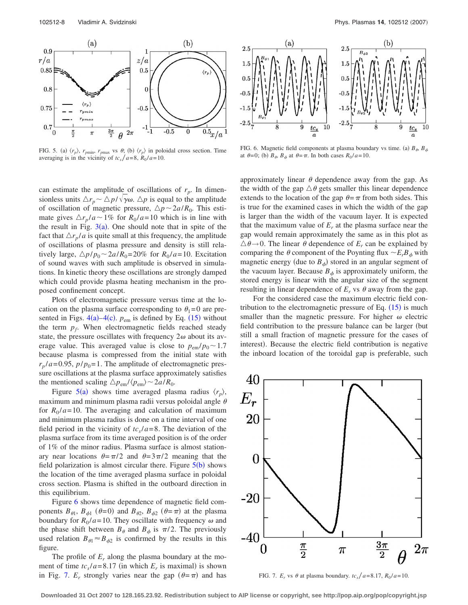<span id="page-7-0"></span>

FIG. 5. (a)  $\langle r_p \rangle$ ,  $r_{pmin}$ ,  $r_{pmax}$  vs  $\theta$ ; (b)  $\langle r_p \rangle$  in poloidal cross section. Time averaging is in the vicinity of  $tc_s/a = 8$ ,  $R_0/a = 10$ .

can estimate the amplitude of oscillations of  $r_p$ . In dimensionless units  $\Delta r_p \sim \Delta p / \sqrt{\gamma \omega}$ .  $\Delta p$  is equal to the amplitude of oscillation of magnetic pressure,  $\Delta p \sim 2a/R_0$ . This estimate gives  $\Delta r_p / a \sim 1\%$  for  $R_0 / a = 10$  which is in line with the result in Fig.  $3(a)$  $3(a)$ . One should note that in spite of the fact that  $\Delta r_p/a$  is quite small at this frequency, the amplitude of oscillations of plasma pressure and density is still relatively large,  $\Delta p / p_0 \sim 2a / R_0 = 20\%$  for  $R_0 / a = 10$ . Excitation of sound waves with such amplitude is observed in simulations. In kinetic theory these oscillations are strongly damped which could provide plasma heating mechanism in the proposed confinement concept.

Plots of electromagnetic pressure versus time at the location on the plasma surface corresponding to  $\theta_1 = 0$  are presented in Figs.  $4(a) - 4(c)$  $4(a) - 4(c)$ .  $p_{em}$  is defined by Eq. ([15](#page-5-0)) without the term  $p_f$ . When electromagnetic fields reached steady state, the pressure oscillates with frequency  $2\omega$  about its average value. This averaged value is close to  $p_{em}/p_0 \sim 1.7$ because plasma is compressed from the initial state with  $r_p/a = 0.95$ ,  $p/p_0 = 1$ . The amplitude of electromagnetic pressure oscillations at the plasma surface approximately satisfies the mentioned scaling  $\Delta p_{em}/\langle p_{em} \rangle \sim 2a/R_0$ .

Figure [5](#page-7-0)(a) shows time averaged plasma radius  $\langle r_p \rangle$ , maximum and minimum plasma radii versus poloidal angle  $\theta$ for  $R_0/a = 10$ . The averaging and calculation of maximum and minimum plasma radius is done on a time interval of one field period in the vicinity of  $tc<sub>s</sub>/a=8$ . The deviation of the plasma surface from its time averaged position is of the order of 1% of the minor radius. Plasma surface is almost stationary near locations  $\theta = \pi/2$  and  $\theta = 3\pi/2$  meaning that the field polarization is almost circular there. Figure  $5(b)$  $5(b)$  shows the location of the time averaged plasma surface in poloidal cross section. Plasma is shifted in the outboard direction in this equilibrium.

Figure [6](#page-7-1) shows time dependence of magnetic field components  $B_{\theta_1}$ ,  $B_{\phi_1}$  ( $\theta=0$ ) and  $B_{\theta_2}$ ,  $B_{\phi_2}$  ( $\theta=\pi$ ) at the plasma boundary for  $R_0/a = 10$ . They oscillate with frequency  $\omega$  and the phase shift between  $B_{\theta}$  and  $B_{\phi}$  is  $\pi/2$ . The previously used relation  $B_{\theta_1} \approx B_{\phi_2}$  is confirmed by the results in this figure.

The profile of  $E_r$  along the plasma boundary at the moment of time  $tc_s/a = 8.17$  (in which  $E_r$  is maximal) is shown in Fig. [7.](#page-7-2)  $E_r$  strongly varies near the gap  $(\theta = \pi)$  and has

<span id="page-7-1"></span>

FIG. 6. Magnetic field components at plasma boundary vs time. (a)  $B_{\phi}$ ,  $B_{\phi}$ at  $\theta = 0$ ; (b)  $B_{\theta}$ ,  $B_{\phi}$  at  $\theta = \pi$ . In both cases  $R_0 / a = 10$ .

approximately linear  $\theta$  dependence away from the gap. As the width of the gap  $\Delta\theta$  gets smaller this linear dependence extends to the location of the gap  $\theta = \pi$  from both sides. This is true for the examined cases in which the width of the gap is larger than the width of the vacuum layer. It is expected that the maximum value of  $E<sub>r</sub>$  at the plasma surface near the gap would remain approximately the same as in this plot as  $\triangle \theta \rightarrow 0$ . The linear  $\theta$  dependence of  $E_r$  can be explained by comparing the  $\theta$  component of the Poynting flux  $\sim E_r B_\phi$  with magnetic energy (due to  $B_{\phi}$ ) stored in an angular segment of the vacuum layer. Because  $B_{\phi}$  is approximately uniform, the stored energy is linear with the angular size of the segment resulting in linear dependence of  $E_r$  vs  $\theta$  away from the gap.

For the considered case the maximum electric field contribution to the electromagnetic pressure of Eq.  $(15)$  $(15)$  $(15)$  is much smaller than the magnetic pressure. For higher  $\omega$  electric field contribution to the pressure balance can be larger (but still a small fraction of magnetic pressure for the cases of interest). Because the electric field contribution is negative the inboard location of the toroidal gap is preferable, such

<span id="page-7-2"></span>

FIG. 7. *E<sub>r</sub>* vs  $\theta$  at plasma boundary.  $tc_s/a = 8.17$ ,  $R_0/a = 10$ .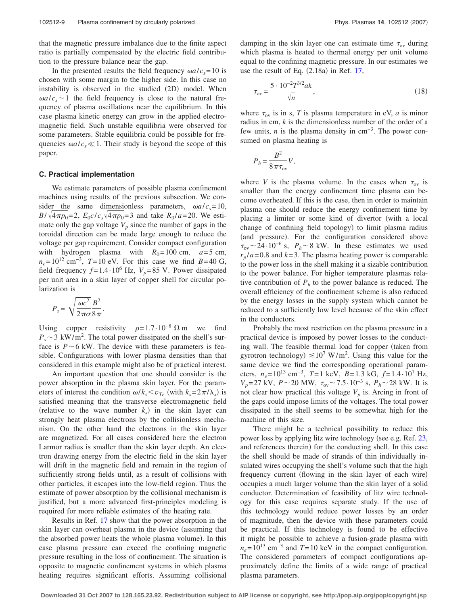that the magnetic pressure imbalance due to the finite aspect ratio is partially compensated by the electric field contribution to the pressure balance near the gap.

In the presented results the field frequency  $\omega a/c_s = 10$  is chosen with some margin to the higher side. In this case no instability is observed in the studied (2D) model. When  $\omega a/c_s$  1 the field frequency is close to the natural frequency of plasma oscillations near the equilibrium. In this case plasma kinetic energy can grow in the applied electromagnetic field. Such unstable equilibria were observed for some parameters. Stable equilibria could be possible for frequencies  $\omega a/c_s \ll 1$ . Their study is beyond the scope of this paper.

#### **C. Practical implementation**

We estimate parameters of possible plasma confinement machines using results of the previous subsection. We consider the same dimensionless parameters,  $\omega a/c_s = 10$ ,  $B/\sqrt{4\pi p_0} = 2$ ,  $E_0 c/c_s \sqrt{4\pi p_0} = 3$  and take  $R_0/a = 20$ . We estimate only the gap voltage  $V_p$  since the number of gaps in the toroidal direction can be made large enough to reduce the voltage per gap requirement. Consider compact configuration with hydrogen plasma with  $R_0 = 100$  cm,  $a = 5$  cm,  $n_e$ = 10<sup>12</sup> cm<sup>-3</sup>, *T*= 10 eV. For this case we find *B*=40 G, field frequency  $f = 1.4 \cdot 10^6$  Hz,  $V_p = 85$  V. Power dissipated per unit area in a skin layer of copper shell for circular polarization is

$$
P_s = \sqrt{\frac{\omega c^2}{2\pi\sigma}} \frac{B^2}{8\pi}.
$$

Using copper resistivity  $\rho = 1.7 \cdot 10^{-8} \Omega$  m we find  $P_s \sim 3 \text{ kW/m}^2$ . The total power dissipated on the shell's surface is  $P \sim 6$  kW. The device with these parameters is feasible. Configurations with lower plasma densities than that considered in this example might also be of practical interest.

An important question that one should consider is the power absorption in the plasma skin layer. For the parameters of interest the condition  $\omega / k_s < v_{Te}$  (with  $k_s = 2\pi / \lambda_s$ ) is satisfied meaning that the transverse electromagnetic field (relative to the wave number  $k<sub>s</sub>$ ) in the skin layer can strongly heat plasma electrons by the collisionless mechanism. On the other hand the electrons in the skin layer are magnetized. For all cases considered here the electron Larmor radius is smaller than the skin layer depth. An electron drawing energy from the electric field in the skin layer will drift in the magnetic field and remain in the region of sufficiently strong fields until, as a result of collisions with other particles, it escapes into the low-field region. Thus the estimate of power absorption by the collisional mechanism is justified, but a more advanced first-principles modeling is required for more reliable estimates of the heating rate.

Results in Ref. [17](#page-9-10) show that the power absorption in the skin layer can overheat plasma in the device (assuming that the absorbed power heats the whole plasma volume). In this case plasma pressure can exceed the confining magnetic pressure resulting in the loss of confinement. The situation is opposite to magnetic confinement systems in which plasma heating requires significant efforts. Assuming collisional damping in the skin layer one can estimate time  $\tau_{ov}$  during which plasma is heated to thermal energy per unit volume equal to the confining magnetic pressure. In our estimates we use the result of Eq.  $(2.18a)$  in Ref. [17,](#page-9-10)

$$
\tau_{\rm ov} = \frac{5 \cdot 10^{-2} T^{3/2} a k}{\sqrt{n}},\tag{18}
$$

where  $\tau_{ov}$  is in s, *T* is plasma temperature in eV, *a* is minor radius in cm, *k* is the dimensionless number of the order of a few units, *n* is the plasma density in cm−3. The power consumed on plasma heating is

$$
P_h = \frac{B^2}{8 \pi \tau_{\text{ov}}} V,
$$

where *V* is the plasma volume. In the cases when  $\tau_{ov}$  is smaller than the energy confinement time plasma can become overheated. If this is the case, then in order to maintain plasma one should reduce the energy confinement time by placing a limiter or some kind of divertor (with a local change of confining field topology) to limit plasma radius (and pressure). For the configuration considered above  $\tau_{ov}$  ~ 24· 10<sup>-6</sup> s,  $P_h$  ~ 8 kW. In these estimates we used  $r_p/a = 0.8$  and  $k = 3$ . The plasma heating power is comparable to the power loss in the shell making it a sizable contribution to the power balance. For higher temperature plasmas relative contribution of  $P<sub>h</sub>$  to the power balance is reduced. The overall efficiency of the confinement scheme is also reduced by the energy losses in the supply system which cannot be reduced to a sufficiently low level because of the skin effect in the conductors.

Probably the most restriction on the plasma pressure in a practical device is imposed by power losses to the conducting wall. The feasible thermal load for copper (taken from gyrotron technology)  $\leq 10^7$  W/m<sup>2</sup>. Using this value for the same device we find the corresponding operational parameters,  $n_e = 10^{13}$  cm<sup>-3</sup>,  $T = 1$  keV,  $B = 1.3$  kG,  $f = 1.4 \cdot 10^7$  Hz, *V<sub>p</sub>*= 27 kV, *P* ∼ 20 MW,  $\tau_{ov}$  ∼ 7.5⋅10<sup>-3</sup> s, *P<sub>h</sub>* ∼ 28 kW. It is not clear how practical this voltage  $V_p$  is. Arcing in front of the gaps could impose limits of the voltages. The total power dissipated in the shell seems to be somewhat high for the machine of this size.

There might be a technical possibility to reduce this power loss by applying litz wire technology (see e.g. Ref. [23,](#page-9-16) and references therein) for the conducting shell. In this case the shell should be made of strands of thin individually insulated wires occupying the shell's volume such that the high frequency current (flowing in the skin layer of each wire) occupies a much larger volume than the skin layer of a solid conductor. Determination of feasibility of litz wire technology for this case requires separate study. If the use of this technology would reduce power losses by an order of magnitude, then the device with these parameters could be practical. If this technology is found to be effective it might be possible to achieve a fusion-grade plasma with  $n_e$ = 10<sup>13</sup> cm<sup>-3</sup> and *T*= 10 keV in the compact configuration. The considered parameters of compact configurations approximately define the limits of a wide range of practical plasma parameters.